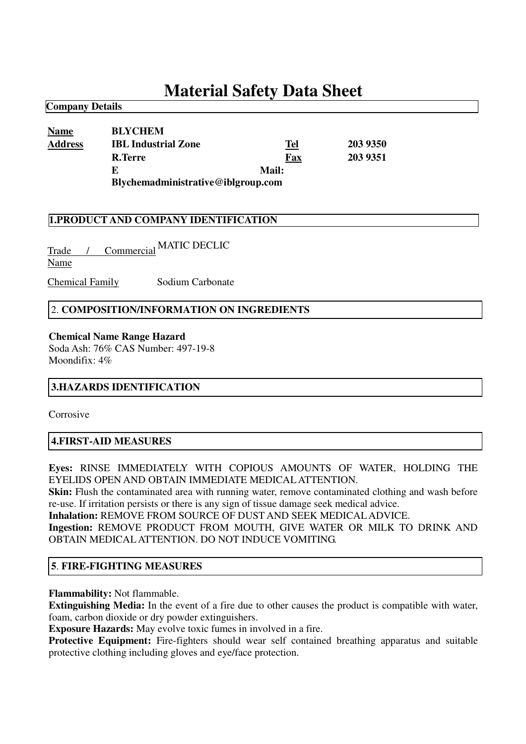# **Material Safety Data Sheet**

| <b>Name</b>    | <b>BLYCHEM</b>                     |       |          |
|----------------|------------------------------------|-------|----------|
| <b>Address</b> | <b>IBL Industrial Zone</b>         | Tel   | 203 9350 |
|                | <b>R.Terre</b>                     | Fax   | 203 9351 |
|                | E                                  | Mail: |          |
|                | Blychemadministrative@iblgroup.com |       |          |

## **1.PRODUCT AND COMPANY IDENTIFICATION**

Trade / Commercial MATIC DECLICName

Chemical Family Sodium Carbonate

#### 2. **COMPOSITION/INFORMATION ON INGREDIENTS**

#### **Chemical Name Range Hazard**

Soda Ash: 76% CAS Number: 497-19-8 Moondifix: 4%

#### **3.HAZARDS IDENTIFICATION**

Corrosive

**Company Details**

#### **4.FIRST-AID MEASURES**

**Eyes:** RINSE IMMEDIATELY WITH COPIOUS AMOUNTS OF WATER, HOLDING THE EYELIDS OPEN AND OBTAIN IMMEDIATE MEDICALATTENTION.

**Skin:** Flush the contaminated area with running water, remove contaminated clothing and wash before re-use. If irritation persists or there is any sign of tissue damage seek medical advice.

**Inhalation:** REMOVE FROM SOURCE OF DUST AND SEEK MEDICALADVICE.

**Ingestion:** REMOVE PRODUCT FROM MOUTH, GIVE WATER OR MILK TO DRINK AND OBTAIN MEDICALATTENTION. DO NOT INDUCE VOMITING.

#### **5**. **FIRE-FIGHTING MEASURES**

**Flammability:** Not flammable.

**Extinguishing Media:** In the event of a fire due to other causes the product is compatible with water, foam, carbon dioxide or dry powder extinguishers.

**Exposure Hazards:** May evolve toxic fumes in involved in a fire.

**Protective Equipment:** Fire-fighters should wear self contained breathing apparatus and suitable protective clothing including gloves and eye/face protection.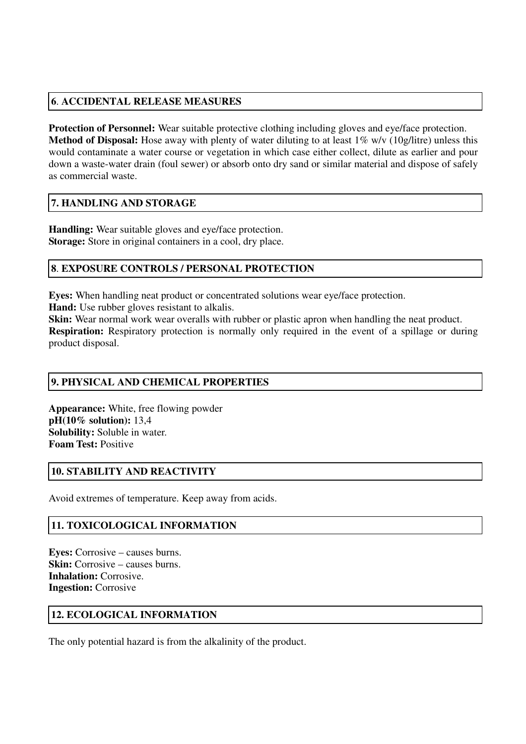# **6**. **ACCIDENTAL RELEASE MEASURES**

**Protection of Personnel:** Wear suitable protective clothing including gloves and eye/face protection. **Method of Disposal:** Hose away with plenty of water diluting to at least 1% w/v (10g/litre) unless this would contaminate a water course or vegetation in which case either collect, dilute as earlier and pour down a waste-water drain (foul sewer) or absorb onto dry sand or similar material and dispose of safely as commercial waste.

# **7. HANDLING AND STORAGE**

**Handling:** Wear suitable gloves and eye/face protection. **Storage:** Store in original containers in a cool, dry place.

## **8**. **EXPOSURE CONTROLS / PERSONAL PROTECTION**

**Eyes:** When handling neat product or concentrated solutions wear eye/face protection.

**Hand:** Use rubber gloves resistant to alkalis.

**Skin:** Wear normal work wear overalls with rubber or plastic apron when handling the neat product.

**Respiration:** Respiratory protection is normally only required in the event of a spillage or during product disposal.

## **9. PHYSICAL AND CHEMICAL PROPERTIES**

**Appearance:** White, free flowing powder **pH(10% solution):** 13,4 **Solubility:** Soluble in water. **Foam Test:** Positive

## **10. STABILITY AND REACTIVITY**

Avoid extremes of temperature. Keep away from acids.

## **11. TOXICOLOGICAL INFORMATION**

**Eyes:** Corrosive – causes burns. **Skin:** Corrosive – causes burns. **Inhalation:** Corrosive. **Ingestion:** Corrosive

## **12. ECOLOGICAL INFORMATION**

The only potential hazard is from the alkalinity of the product.